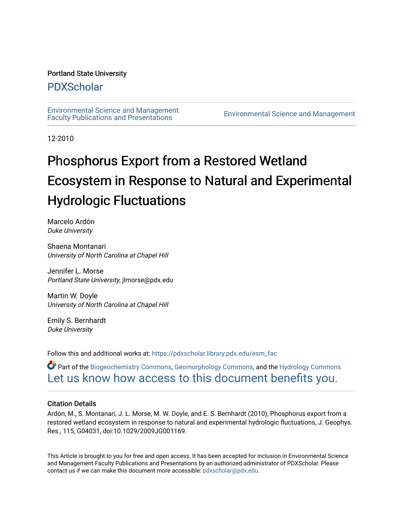# Portland State University

# [PDXScholar](https://pdxscholar.library.pdx.edu/)

[Environmental Science and Management](https://pdxscholar.library.pdx.edu/esm_fac)  [Faculty Publications and Presentations](https://pdxscholar.library.pdx.edu/esm_fac) [Environmental Science and Management](https://pdxscholar.library.pdx.edu/esm) 

12-2010

# Phosphorus Export from a Restored Wetland Ecosystem in Response to Natural and Experimental Hydrologic Fluctuations

Marcelo Ardón Duke University

Shaena Montanari University of North Carolina at Chapel Hill

Jennifer L. Morse Portland State University, jlmorse@pdx.edu

Martin W. Doyle University of North Carolina at Chapel Hill

Emily S. Bernhardt Duke University

Follow this and additional works at: [https://pdxscholar.library.pdx.edu/esm\\_fac](https://pdxscholar.library.pdx.edu/esm_fac?utm_source=pdxscholar.library.pdx.edu%2Fesm_fac%2F59&utm_medium=PDF&utm_campaign=PDFCoverPages) 

Part of the [Biogeochemistry Commons,](http://network.bepress.com/hgg/discipline/154?utm_source=pdxscholar.library.pdx.edu%2Fesm_fac%2F59&utm_medium=PDF&utm_campaign=PDFCoverPages) [Geomorphology Commons,](http://network.bepress.com/hgg/discipline/1053?utm_source=pdxscholar.library.pdx.edu%2Fesm_fac%2F59&utm_medium=PDF&utm_campaign=PDFCoverPages) and the [Hydrology Commons](http://network.bepress.com/hgg/discipline/1054?utm_source=pdxscholar.library.pdx.edu%2Fesm_fac%2F59&utm_medium=PDF&utm_campaign=PDFCoverPages) [Let us know how access to this document benefits you.](http://library.pdx.edu/services/pdxscholar-services/pdxscholar-feedback/?ref=https://pdxscholar.library.pdx.edu/esm_fac/59) 

# Citation Details

Ardón, M., S. Montanari, J. L. Morse, M. W. Doyle, and E. S. Bernhardt (2010), Phosphorus export from a restored wetland ecosystem in response to natural and experimental hydrologic fluctuations, J. Geophys. Res., 115, G04031, doi:10.1029/2009JG001169.

This Article is brought to you for free and open access. It has been accepted for inclusion in Environmental Science and Management Faculty Publications and Presentations by an authorized administrator of PDXScholar. Please contact us if we can make this document more accessible: [pdxscholar@pdx.edu](mailto:pdxscholar@pdx.edu).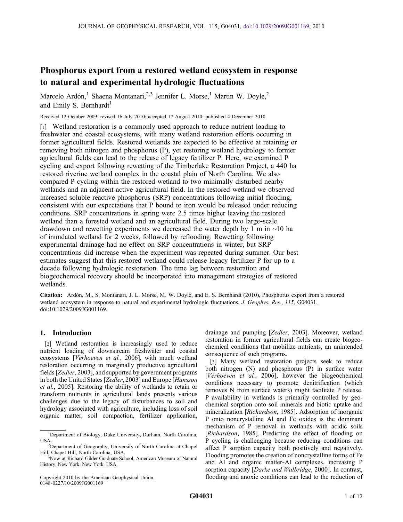# Phosphorus export from a restored wetland ecosystem in response to natural and experimental hydrologic fluctuations

Marcelo Ardón,<sup>1</sup> Shaena Montanari,<sup>2,3</sup> Jennifer L. Morse,<sup>1</sup> Martin W. Doyle,<sup>2</sup> and Emily S. Bernhardt<sup>1</sup>

Received 12 October 2009; revised 16 July 2010; accepted 17 August 2010; published 4 December 2010.

[1] Wetland restoration is a commonly used approach to reduce nutrient loading to freshwater and coastal ecosystems, with many wetland restoration efforts occurring in former agricultural fields. Restored wetlands are expected to be effective at retaining or removing both nitrogen and phosphorus (P), yet restoring wetland hydrology to former agricultural fields can lead to the release of legacy fertilizer P. Here, we examined P cycling and export following rewetting of the Timberlake Restoration Project, a 440 ha restored riverine wetland complex in the coastal plain of North Carolina. We also compared P cycling within the restored wetland to two minimally disturbed nearby wetlands and an adjacent active agricultural field. In the restored wetland we observed increased soluble reactive phosphorus (SRP) concentrations following initial flooding, consistent with our expectations that P bound to iron would be released under reducing conditions. SRP concentrations in spring were 2.5 times higher leaving the restored wetland than a forested wetland and an agricultural field. During two large-scale drawdown and rewetting experiments we decreased the water depth by 1 m in ∼10 ha of inundated wetland for 2 weeks, followed by reflooding. Rewetting following experimental drainage had no effect on SRP concentrations in winter, but SRP concentrations did increase when the experiment was repeated during summer. Our best estimates suggest that this restored wetland could release legacy fertilizer P for up to a decade following hydrologic restoration. The time lag between restoration and biogeochemical recovery should be incorporated into management strategies of restored wetlands.

Citation: Ardón, M., S. Montanari, J. L. Morse, M. W. Doyle, and E. S. Bernhardt (2010), Phosphorus export from a restored wetland ecosystem in response to natural and experimental hydrologic fluctuations, *J. Geophys. Res.*, 115, G04031, doi:10.1029/2009JG001169.

# 1. Introduction

[2] Wetland restoration is increasingly used to reduce nutrient loading of downstream freshwater and coastal ecosystems [Verhoeven et al., 2006], with much wetland restoration occurring in marginally productive agricultural fields [Zedler, 2003], and supported by government programs in both the United States [Zedler, 2003] and Europe [Hansson et al., 2005]. Restoring the ability of wetlands to retain or transform nutrients in agricultural lands presents various challenges due to the legacy of disturbances to soil and hydrology associated with agriculture, including loss of soil organic matter, soil compaction, fertilizer application,

Copyright 2010 by the American Geophysical Union. 0148‐0227/10/2009JG001169

drainage and pumping [Zedler, 2003]. Moreover, wetland restoration in former agricultural fields can create biogeochemical conditions that mobilize nutrients, an unintended consequence of such programs.

[3] Many wetland restoration projects seek to reduce both nitrogen (N) and phosphorus (P) in surface water [Verhoeven et al., 2006], however the biogeochemical conditions necessary to promote denitrification (which removes N from surface waters) might facilitate P release. P availability in wetlands is primarily controlled by geochemical sorption onto soil minerals and biotic uptake and mineralization [Richardson, 1985]. Adsorption of inorganic P onto noncrystalline Al and Fe oxides is the dominant mechanism of P removal in wetlands with acidic soils [Richardson, 1985]. Predicting the effect of flooding on P cycling is challenging because reducing conditions can affect P sorption capacity both positively and negatively. Flooding promotes the creation of noncrystalline forms of Fe and Al and organic matter‐Al complexes, increasing P sorption capacity [Darke and Walbridge, 2000]. In contrast, flooding and anoxic conditions can lead to the reduction of

<sup>&</sup>lt;sup>1</sup>Department of Biology, Duke University, Durham, North Carolina, USA. <sup>2</sup>

<sup>&</sup>lt;sup>2</sup>Department of Geography, University of North Carolina at Chapel Hill, Chapel Hill, North Carolina, USA. <sup>3</sup>

<sup>&</sup>lt;sup>3</sup>Now at Richard Gilder Graduate School, American Museum of Natural History, New York, New York, USA.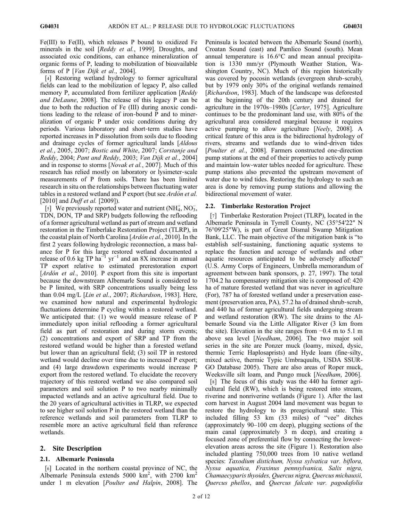Fe(III) to Fe(II), which releases P bound to oxidized Fe minerals in the soil [Reddy et al., 1999]. Droughts, and associated oxic conditions, can enhance mineralization of organic forms of P, leading to mobilization of bioavailable forms of P [Van Dijk et al., 2004].

[4] Restoring wetland hydrology to former agricultural fields can lead to the mobilization of legacy P, also called memory P, accumulated from fertilizer application [Reddy] and DeLaune, 2008]. The release of this legacy P can be due to both the reduction of Fe (III) during anoxic conditions leading to the release of iron‐bound P and to mineralization of organic P under oxic conditions during dry periods. Various laboratory and short‐term studies have reported increases in P dissolution from soils due to flooding and drainage cycles of former agricultural lands [Aldous et al., 2005, 2007; Bostic and White, 2007; Corstanje and Reddy, 2004; Pant and Reddy, 2003; Van Dijk et al., 2004] and in response to storms [Novak et al., 2007]. Much of this research has relied mostly on laboratory or lysimeter‐scale measurements of P from soils. There has been limited research in situ on the relationships between fluctuating water tables in a restored wetland and P export (but see Ardón et al. [2010] and *Duff et al.* [2009]).

[5] We previously reported water and nutrient  $(NH_4^+, NO_3^-,$ TDN, DON, TP and SRP) budgets following the reflooding of a former agricultural wetland as part of stream and wetland restoration in the Timberlake Restoration Project (TLRP), in the coastal plain of North Carolina [Ardón et al., 2010]. In the first 2 years following hydrologic reconnection, a mass balance for P for this large restored wetland documented a release of 0.6 kg TP ha<sup> $^{-1}$ </sup> yr<sup> $^{-1}$ </sup> and an 8X increase in annual TP export relative to estimated prerestoration export [*Ardón et al.*, 2010]. P export from this site is important because the downstream Albemarle Sound is considered to be P limited, with SRP concentrations usually being less than 0.04 mg/L [Lin et al., 2007; Richardson, 1983]. Here, we examined how natural and experimental hydrologic fluctuations determine P cycling within a restored wetland. We anticipated that: (1) we would measure release of P immediately upon initial reflooding a former agricultural field as part of restoration and during storm events; (2) concentrations and export of SRP and TP from the restored wetland would be higher than a forested wetland but lower than an agricultural field; (3) soil TP in restored wetland would decline over time due to increased P export; and (4) large drawdown experiments would increase P export from the restored wetland. To elucidate the recovery trajectory of this restored wetland we also compared soil parameters and soil solution P to two nearby minimally impacted wetlands and an active agricultural field. Due to the 20 years of agricultural activities in TLRP, we expected to see higher soil solution P in the restored wetland than the reference wetlands and soil parameters from TLRP to resemble more an active agricultural field than reference wetlands.

# 2. Site Description

## 2.1. Albemarle Peninsula

[6] Located in the northern coastal province of NC, the Albemarle Peninsula extends 5000  $\text{km}^2$ , with 2700  $\text{km}^2$ under 1 m elevation [Poulter and Halpin, 2008]. The Peninsula is located between the Albemarle Sound (north), Croatan Sound (east) and Pamlico Sound (south). Mean annual temperature is 16.6°C and mean annual precipitation is 1330 mm/yr (Plymouth Weather Station, Washington Country, NC). Much of this region historically was covered by pocosin wetlands (evergreen shrub-scrub), but by 1979 only 30% of the original wetlands remained [Richardson, 1983]. Much of the landscape was deforested at the beginning of the 20th century and drained for agriculture in the 1970s–1980s [Carter, 1975]. Agriculture continues to be the predominant land use, with 80% of the agricultural area considered marginal because it requires active pumping to allow agriculture [Neely, 2008]. A critical feature of this area is the bidirectional hydrology of rivers, streams and wetlands due to wind‐driven tides [Poulter et al., 2008]. Farmers constructed one‐direction pump stations at the end of their properties to actively pump and maintain low‐water tables needed for agriculture. These pump stations also prevented the upstream movement of water due to wind tides. Restoring the hydrology to such an area is done by removing pump stations and allowing the bidirectional movement of water.

## 2.2. Timberlake Restoration Project

[7] Timberlake Restoration Project (TLRP), located in the Albemarle Peninsula in Tyrrell County, NC (35°54′22″ N 76°09′25″W), is part of Great Dismal Swamp Mitigation Bank, LLC. The main objective of the mitigation bank is "to establish self‐sustaining, functioning aquatic systems to replace the function and acreage of wetlands and other aquatic resources anticipated to be adversely affected" (U.S. Army Corps of Engineers, Umbrella memorandum of agreement between bank sponsors, p. 27, 1997). The total 1704.2 ha compensatory mitigation site is composed of: 420 ha of mature forested wetland that was never in agriculture (For), 787 ha of forested wetland under a preservation easement (preservation area, PA), 57.2 ha of drained shrub‐scrub, and 440 ha of former agricultural fields undergoing stream and wetland restoration (RW). The site drains to the Albemarle Sound via the Little Alligator River (3 km from the site). Elevation in the site ranges from −0.4 m to 5.1 m above sea level [Needham, 2006]. The two major soil series in the site are Ponzer muck (loamy, mixed, dysic, thermic Terric Haplosaprists) and Hyde loam (fine‐silty, mixed active, thermic Typic Umbraquults, USDA SSUR-GO Database 2005). There are also areas of Roper muck, Weeksville silt loam, and Pungo muck [Needham, 2006].

[8] The focus of this study was the 440 ha former agricultural field (RW), which is being restored into stream, riverine and nonriverine wetlands (Figure 1). After the last corn harvest in August 2004 land movement was begun to restore the hydrology to its preagricultural state. This included filling 53 km (33 miles) of "vee" ditches (approximately 90–100 cm deep), plugging sections of the main canal (approximately 3 m deep), and creating a focused zone of preferential flow by connecting the lowest‐ elevation areas across the site (Figure 1). Restoration also included planting 750,000 trees from 10 native wetland species: Taxodium distichum, Nyssa sylvatica var. biflora, Nyssa aquatica, Fraxinus pennsylvanica, Salix nigra, Chamaecyparis thyoides, Quercus nigra, Quercus michauxii, Quercus phellos, and Quercus falcate var. pagodafolia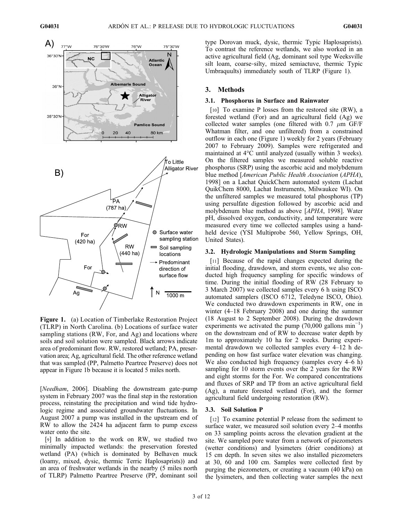

Figure 1. (a) Location of Timberlake Restoration Project (TLRP) in North Carolina. (b) Locations of surface water sampling stations (RW, For, and Ag) and locations where soils and soil solution were sampled. Black arrows indicate area of predominant flow. RW, restored wetland; PA, preservation area; Ag, agricultural field. The other reference wetland that was sampled (PP, Palmetto Peartree Preserve) does not appear in Figure 1b because it is located 5 miles north.

[*Needham*, 2006]. Disabling the downstream gate-pump system in February 2007 was the final step in the restoration process, reinstating the precipitation and wind tide hydrologic regime and associated groundwater fluctuations. In August 2007 a pump was installed in the upstream end of RW to allow the 2424 ha adjacent farm to pump excess water onto the site.

[9] In addition to the work on RW, we studied two minimally impacted wetlands: the preservation forested wetland (PA) (which is dominated by Belhaven muck (loamy, mixed, dysic, thermic Terric Haplosaprists)) and an area of freshwater wetlands in the nearby (5 miles north of TLRP) Palmetto Peartree Preserve (PP, dominant soil

type Dorovan muck, dysic, thermic Typic Haplosaprists). To contrast the reference wetlands, we also worked in an active agricultural field (Ag, dominant soil type Weeksville silt loam, coarse‐silty, mized semiactuve, thermic Typic Umbraquults) immediately south of TLRP (Figure 1).

## 3. Methods

# 3.1. Phosphorus in Surface and Rainwater

[10] To examine P losses from the restored site (RW), a forested wetland (For) and an agricultural field (Ag) we collected water samples (one filtered with  $0.7 \mu m$  GF/F Whatman filter, and one unfiltered) from a constrained outflow in each one (Figure 1) weekly for 2 years (February 2007 to February 2009). Samples were refrigerated and maintained at 4°C until analyzed (usually within 3 weeks). On the filtered samples we measured soluble reactive phosphorus (SRP) using the ascorbic acid and molybdenum blue method [American Public Health Association (APHA), 1998] on a Lachat QuickChem automated system (Lachat QuikChem 8000, Lachat Instruments, Milwaukee WI). On the unfiltered samples we measured total phosphorus (TP) using persulfate digestion followed by ascorbic acid and molybdenum blue method as above [APHA, 1998]. Water pH, dissolved oxygen, conductivity, and temperature were measured every time we collected samples using a handheld device (YSI Multiprobe 560, Yellow Springs, OH, United States).

#### 3.2. Hydrologic Manipulations and Storm Sampling

[11] Because of the rapid changes expected during the initial flooding, drawdown, and storm events, we also conducted high frequency sampling for specific windows of time. During the initial flooding of RW (28 February to 3 March 2007) we collected samples every 6 h using ISCO automated samplers (ISCO 6712, Teledyne ISCO, Ohio). We conducted two drawdown experiments in RW, one in winter (4–18 February 2008) and one during the summer (18 August to 2 September 2008). During the drawdown experiments we activated the pump  $(70,000 \text{ gallons min}^{-1})$ on the downstream end of RW to decrease water depth by 1m to approximately 10 ha for 2 weeks. During experimental drawdown we collected samples every 4–12 h depending on how fast surface water elevation was changing. We also conducted high frequency (samples every 4–6 h) sampling for 10 storm events over the 2 years for the RW and eight storms for the For. We compared concentrations and fluxes of SRP and TP from an active agricultural field (Ag), a mature forested wetland (For), and the former agricultural field undergoing restoration (RW).

#### 3.3. Soil Solution P

[12] To examine potential P release from the sediment to surface water, we measured soil solution every 2–4 months on 33 sampling points across the elevation gradient at the site. We sampled pore water from a network of piezometers (wetter conditions) and lysimeters (drier conditions) at 15 cm depth. In seven sites we also installed piezometers at 30, 60 and 100 cm. Samples were collected first by purging the piezometers, or creating a vacuum (40 kPa) on the lysimeters, and then collecting water samples the next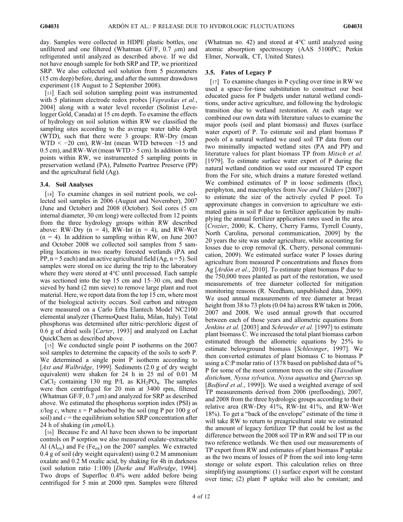day. Samples were collected in HDPE plastic bottles, one unfiltered and one filtered (Whatman GF/F,  $0.7 \mu m$ ) and refrigerated until analyzed as described above. If we did not have enough sample for both SRP and TP, we prioritized SRP. We also collected soil solution from 5 piezometers (15 cm deep) before, during, and after the summer drawdown experiment (18 August to 2 September 2008).

[13] Each soil solution sampling point was instrumented with 5 platinum electrode redox probes [*Vepraskas et al.*, 2004] along with a water level recorder (Solinist Levelogger Gold, Canada) at 15 cm depth. To examine the effects of hydrology on soil solution within RW we classified the sampling sites according to the average water table depth (WTD), such that there were 3 groups: RW‐Dry (mean WTD  $\lt$  -20 cm), RW-Int (mean WTD between -15 and 0.5 cm), and RW‐Wet (mean WTD > 5 cm). In addition to the points within RW, we instrumented 5 sampling points in preservation wetland (PA), Palmetto Peartree Preserve (PP) and the agricultural field (Ag).

# 3.4. Soil Analyses

[14] To examine changes in soil nutrient pools, we collected soil samples in 2006 (August and November), 2007 (June and October) and 2008 (October). Soil cores (5 cm internal diameter, 30 cm long) were collected from 12 points from the three hydrology groups within RW described above: RW-Dry  $(n = 4)$ , RW-Int  $(n = 4)$ , and RW-Wet  $(n = 4)$ . In addition to sampling within RW, on June 2007 and October 2008 we collected soil samples from 5 sampling locations in two nearby forested wetlands (PA and  $PP, n = 5$  each) and an active agricultural field  $(Ag, n = 5)$ . Soil samples were stored on ice during the trip to the laboratory where they were stored at 4°C until processed. Each sample was sectioned into the top 15 cm and 15–30 cm, and then sieved by hand (2 mm sieve) to remove large plant and root material. Here, we report data from the top 15 cm, where most of the biological activity occurs. Soil carbon and nitrogen were measured on a Carlo Erba Elantech Model NC2100 elemental analyzer (ThermoQuest Italia, Milan, Italy). Total phosphorus was determined after nitric‐perchloric digest of 0.6 g of dried soils [Carter, 1993] and analyzed on Lachat QuickChem as described above.

[15] We conducted single point P isotherms on the 2007 soil samples to determine the capacity of the soils to sorb P. We determined a single point P isotherm according to [Axt and Walbridge, 1999]. Sediments (2.0 g of dry weight equivalent) were shaken for 24 h in 25 ml of 0.01 M  $CaCl<sub>2</sub>$  containing 130 mg P/L as  $KH<sub>2</sub>PO<sub>4</sub>$ . The samples were then centrifuged for 20 min at 3400 rpm, filtered (Whatman GF/F,  $0.7 \mu m$ ) and analyzed for SRP as described above. We estimated the phosphorus sorption index (PSI) as  $x/\log c$ , where  $x = P$  adsorbed by the soil (mg P per 100 g of soil) and  $c =$  the equilibrium solution SRP concentration after 24 h of shaking (in  $\mu$ mol/L).

[16] Because Fe and Al have been shown to be important controls on P sorption we also measured oxalate‐extractable Al  $(Al_{ox})$  and Fe (Fe<sub>ox</sub>) on the 2007 samples. We extracted 0.4 g of soil (dry weight equivalent) using 0.2 M ammonium oxalate and 0.2 M oxalic acid, by shaking for 4h in darkness (soil solution ratio 1:100) [Darke and Walbridge, 1994]. Two drops of Superfloc 0.4% were added before being centrifuged for 5 min at 2000 rpm. Samples were filtered (Whatman no. 42) and stored at 4°C until analyzed using atomic absorption spectroscopy (AAS 5100PC; Perkin Elmer, Norwalk, CT, United States).

# 3.5. Fates of Legacy P

[17] To examine changes in P cycling over time in RW we used a space–for-time substitution to construct our best educated guess for P budgets under natural wetland conditions, under active agriculture, and following the hydrologic transition due to wetland restoration. At each stage we combined our own data with literature values to examine the major pools (soil and plant biomass) and fluxes (surface water export) of P. To estimate soil and plant biomass P pools of a natural wetland we used soil TP data from our two minimally impacted wetland sites (PA and PP) and literature values for plant biomass TP from Mitsch et al. [1979]. To estimate surface water export of P during the natural wetland condition we used our measured TP export from the For site, which drains a mature forested wetland. We combined estimates of P in loose sediments (floc), periphyton, and macrophytes from Noe and Childers [2007] to estimate the size of the actively cycled P pool. To approximate changes in conversion to agriculture we estimated gains in soil P due to fertilizer application by multiplying the annual fertilizer application rates used in the area [Crozier, 2000; K. Cherry, Cherry Farms, Tyrrell County, North Carolina, personal communication, 2009] by the 20 years the site was under agriculture, while accounting for losses due to crop removal (K. Cherry, personal communication, 2009). We estimated surface water P losses during agriculture from measured P concentrations and fluxes from Ag [*Ardón et al.*, 2010]. To estimate plant biomass P due to the 750,000 trees planted as part of the restoration, we used measurements of tree diameter collected for mitigation monitoring reasons (R. Needham, unpublished data, 2009). We used annual measurements of tree diameter at breast height from 38 to 73 plots (0.04 ha) across RW taken in 2006, 2007 and 2008. We used annual growth that occurred between each of those years and allometric equations from Jenkins et al. [2003] and Schroeder et al. [1997] to estimate plant biomass C. We increased the total plant biomass carbon estimated through the allometric equations by 25% to estimate belowground biomass [Schlesinger, 1997]. We then converted estimates of plant biomass C to biomass P using a C:P molar ratio of 1378 based on published data of % P for some of the most common trees on the site (Taxodium distichum, Nyssa sylvatica, Nyssa aquatica and Quercus sp. [Bedford et al., 1999]). We used a weighted average of soil TP measurements derived from 2006 (preflooding), 2007, and 2008 from the three hydrologic groups according to their relative area (RW‐Dry 41%, RW‐Int 41%, and RW‐Wet 18%). To get a "back of the envelope" estimate of the time it will take RW to return to preagricultural state we estimated the amount of legacy fertilizer TP that could be lost as the difference between the 2008 soil TP in RW and soil TP in our two reference wetlands. We then used our measurements of TP export from RW and estimates of plant biomass P uptake as the two means of losses of P from the soil into long‐term storage or solute export. This calculation relies on three simplifying assumptions: (1) surface export will be constant over time; (2) plant P uptake will also be constant; and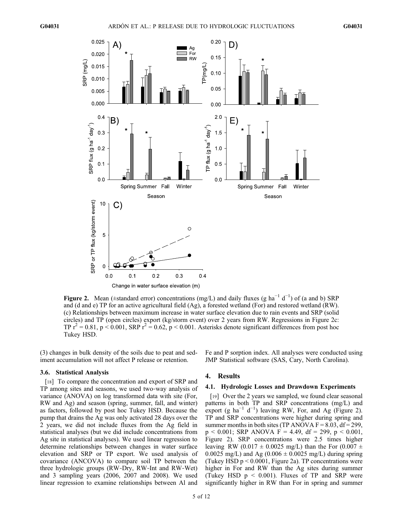

Figure 2. Mean ( $\pm$ standard error) concentrations (mg/L) and daily fluxes (g ha<sup>-1</sup> d<sup>-1</sup>) of (a and b) SRP and (d and e) TP for an active agricultural field (Ag), a forested wetland (For) and restored wetland (RW). (c) Relationships between maximum increase in water surface elevation due to rain events and SRP (solid circles) and TP (open circles) export (kg/storm event) over 2 years from RW. Regressions in Figure 2c: TP  $r^2 = 0.81$ , p < 0.001, SRP  $r^2 = 0.62$ , p < 0.001. Asterisks denote significant differences from post hoc Tukey HSD.

(3) changes in bulk density of the soils due to peat and sediment accumulation will not affect P release or retention.

# 3.6. Statistical Analysis

[18] To compare the concentration and export of SRP and TP among sites and seasons, we used two‐way analysis of variance (ANOVA) on log transformed data with site (For, RW and Ag) and season (spring, summer, fall, and winter) as factors, followed by post hoc Tukey HSD. Because the pump that drains the Ag was only activated 28 days over the 2 years, we did not include fluxes from the Ag field in statistical analyses (but we did include concentrations from Ag site in statistical analyses). We used linear regression to determine relationships between changes in water surface elevation and SRP or TP export. We used analysis of covariance (ANCOVA) to compare soil TP between the three hydrologic groups (RW‐Dry, RW‐Int and RW‐Wet) and 3 sampling years (2006, 2007 and 2008). We used linear regression to examine relationships between Al and

# 4. Results

#### 4.1. Hydrologic Losses and Drawdown Experiments

Fe and P sorption index. All analyses were conducted using JMP Statistical software (SAS, Cary, North Carolina).

[19] Over the 2 years we sampled, we found clear seasonal patterns in both TP and SRP concentrations (mg/L) and export (g ha<sup>-1</sup> d<sup>-1</sup>) leaving RW, For, and Ag (Figure 2). TP and SRP concentrations were higher during spring and summer months in both sites (TP ANOVA  $F = 8.03$ , df = 299,  $p < 0.001$ ; SRP ANOVA F = 4.49, df = 299, p < 0.001, Figure 2). SRP concentrations were 2.5 times higher leaving RW (0.017  $\pm$  0.0025 mg/L) than the For (0.007  $\pm$ 0.0025 mg/L) and Ag  $(0.006 \pm 0.0025$  mg/L) during spring (Tukey HSD  $p < 0.0001$ , Figure 2a). TP concentrations were higher in For and RW than the Ag sites during summer (Tukey HSD  $p \le 0.001$ ). Fluxes of TP and SRP were significantly higher in RW than For in spring and summer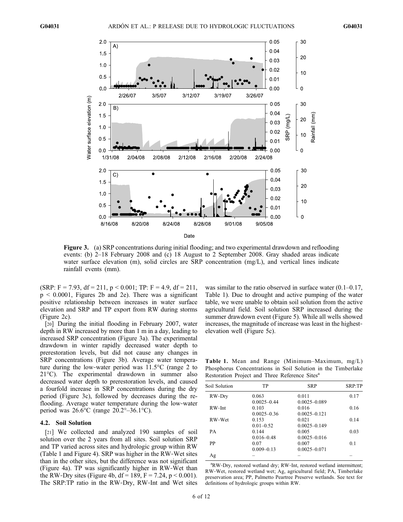

Figure 3. (a) SRP concentrations during initial flooding; and two experimental drawdown and reflooding events: (b) 2–18 February 2008 and (c) 18 August to 2 September 2008. Gray shaded areas indicate water surface elevation (m), solid circles are SRP concentration (mg/L), and vertical lines indicate rainfall events (mm).

 $(SRP: F = 7.93, df = 211, p < 0.001; TP: F = 4.9, df = 211,$  $p \le 0.0001$ , Figures 2b and 2e). There was a significant positive relationship between increases in water surface elevation and SRP and TP export from RW during storms (Figure 2c).

[20] During the initial flooding in February 2007, water depth in RW increased by more than 1 m in a day, leading to increased SRP concentration (Figure 3a). The experimental drawdown in winter rapidly decreased water depth to prerestoration levels, but did not cause any changes in SRP concentrations (Figure 3b). Average water temperature during the low-water period was  $11.5^{\circ}$ C (range 2 to 21°C). The experimental drawdown in summer also decreased water depth to prerestoration levels, and caused a fourfold increase in SRP concentrations during the dry period (Figure 3c), followed by decreases during the reflooding. Average water temperature during the low‐water period was 26.6°C (range 20.2°–36.1°C).

# 4.2. Soil Solution

[21] We collected and analyzed 190 samples of soil solution over the 2 years from all sites. Soil solution SRP and TP varied across sites and hydrologic group within RW (Table 1 and Figure 4). SRP was higher in the RW‐Wet sites than in the other sites, but the difference was not significant (Figure 4a). TP was significantly higher in RW‐Wet than the RW-Dry sites (Figure 4b,  $df = 189$ ,  $F = 7.24$ ,  $p < 0.001$ ). The SRP:TP ratio in the RW‐Dry, RW‐Int and Wet sites

was similar to the ratio observed in surface water  $(0.1-0.17, 1.0)$ Table 1). Due to drought and active pumping of the water table, we were unable to obtain soil solution from the active agricultural field. Soil solution SRP increased during the summer drawdown event (Figure 5). While all wells showed increases, the magnitude of increase was least in the highestelevation well (Figure 5c).

Table 1. Mean and Range (Minimum–Maximum, mg/L) Phosphorus Concentrations in Soil Solution in the Timberlake Restoration Project and Three Reference Sites<sup>a</sup>

| Soil Solution | TP              | <b>SRP</b>       | <b>SRP:TP</b> |
|---------------|-----------------|------------------|---------------|
| RW-Dry        | 0.063           | 0.011            | 0.17          |
|               | $0.0025 - 0.44$ | $0.0025 - 0.089$ |               |
| RW-Int        | 0.103           | 0.016            | 0.16          |
|               | $0.0025 - 0.36$ | $0.0025 - 0.121$ |               |
| RW-Wet        | 0.153           | 0.021            | 0.14          |
|               | $0.01 - 0.52$   | $0.0025 - 0.149$ |               |
| PA            | 0.144           | 0.005            | 0.03          |
|               | $0.016 - 0.48$  | $0.0025 - 0.016$ |               |
| PP            | 0.07            | 0.007            | 0.1           |
|               | $0.009 - 0.13$  | $0.0025 - 0.071$ |               |
| Αg            |                 |                  |               |

a RW‐Dry, restored wetland dry; RW‐Int, restored wetland intermittent; RW‐Wet, restored wetland wet; Ag, agricultural field; PA, Timberlake preservation area; PP, Palmetto Peartree Preserve wetlands. See text for definitions of hydrologic groups within RW.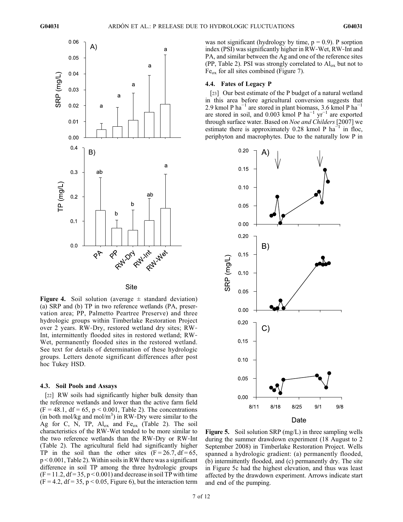

Site

**Figure 4.** Soil solution (average  $\pm$  standard deviation) (a) SRP and (b) TP in two reference wetlands (PA, preservation area; PP, Palmetto Peartree Preserve) and three hydrologic groups within Timberlake Restoration Project over 2 years. RW‐Dry, restored wetland dry sites; RW‐ Int, intermittently flooded sites in restored wetland; RW‐ Wet, permanently flooded sites in the restored wetland. See text for details of determination of these hydrologic groups. Letters denote significant differences after post hoc Tukey HSD.

#### 4.3. Soil Pools and Assays

[22] RW soils had significantly higher bulk density than the reference wetlands and lower than the active farm field  $(F = 48.1, df = 65, p < 0.001, Table 2)$ . The concentrations  $(in both mol/kg and mol/m<sup>3</sup>)$  in RW-Dry were similar to the Ag for C, N, TP,  $Al_{ox}$  and Fe<sub>ox</sub> (Table 2). The soil characteristics of the RW‐Wet tended to be more similar to the two reference wetlands than the RW‐Dry or RW‐Int (Table 2). The agricultural field had significantly higher TP in the soil than the other sites  $(F = 26.7, df = 65,$  $p < 0.001$ , Table 2). Within soils in RW there was a significant difference in soil TP among the three hydrologic groups  $(F = 11.2, df = 35, p < 0.001)$  and decrease in soil TP with time  $(F = 4.2, df = 35, p < 0.05, Figure 6)$ , but the interaction term

#### 4.4. Fates of Legacy P

[23] Our best estimate of the P budget of a natural wetland in this area before agricultural conversion suggests that 2.9 kmol P ha<sup> $-1$ </sup> are stored in plant biomass, 3.6 kmol P ha<sup> $-1$ </sup> are stored in soil, and 0.003 kmol P ha<sup>-1</sup> yr<sup>-1</sup> are exported through surface water. Based on Noe and Childers [2007] we estimate there is approximately 0.28 kmol P  $ha^{-1}$  in floc, periphyton and macrophytes. Due to the naturally low P in



Figure 5. Soil solution SRP (mg/L) in three sampling wells during the summer drawdown experiment (18 August to 2 September 2008) in Timberlake Restoration Project. Wells spanned a hydrologic gradient: (a) permanently flooded, (b) intermittently flooded, and (c) permanently dry. The site in Figure 5c had the highest elevation, and thus was least affected by the drawdown experiment. Arrows indicate start and end of the pumping.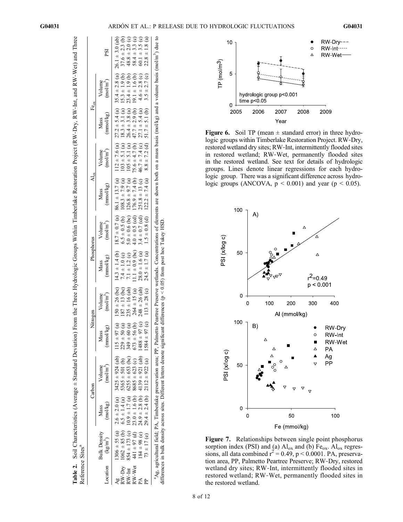|          |                                                     |                                     | Carbon                                                                                                                                                                                                                             | Nitrogen                                                     |                                 | Phosphorus          |                                      |                                                                                                                         |                                      |                    |                                 |                    |
|----------|-----------------------------------------------------|-------------------------------------|------------------------------------------------------------------------------------------------------------------------------------------------------------------------------------------------------------------------------------|--------------------------------------------------------------|---------------------------------|---------------------|--------------------------------------|-------------------------------------------------------------------------------------------------------------------------|--------------------------------------|--------------------|---------------------------------|--------------------|
|          |                                                     |                                     |                                                                                                                                                                                                                                    |                                                              |                                 |                     |                                      |                                                                                                                         |                                      |                    |                                 |                    |
|          | <b>Bulk Density</b><br>$\text{Location}$ $(kg/m^3)$ | (mol/kg)<br>Mass                    | (mol/m <sup>3</sup> )<br>Volume                                                                                                                                                                                                    | (mmol/kg)<br>Mass                                            | (mol/m <sup>3</sup> )<br>Volume | (mmol/kg)<br>Mass   | (mol/m <sup>3</sup> )<br>Volume      | (mmol/kg)<br>Mass                                                                                                       | (mol/m <sup>3</sup> )<br>/olume      | (mmol/kg)<br>Mass  | (mol/m <sup>3</sup> )<br>Volume | ΡSΙ                |
|          |                                                     | $1306 \pm 55$ (a) $2.6 \pm 2.0$ (a) | $3425 \pm 924$ (ab) $115 \pm 97$                                                                                                                                                                                                   |                                                              |                                 |                     |                                      | 150 + 26 (bc) 14.3 ± 1.4 (b) 18.7 ± 0.7 (a) 86.1 ± 13.7 (a) 112 ± 7.6 (a) 27.2 ± 5.4 (a) 35.4 ± 2.8 (a) 26.1 ± 3.0 (ab) |                                      |                    |                                 |                    |
| RW-Dry   | $1062 \pm 85$ (b)                                   | $6.5 \pm 1.4$ (a)                   | $5365 \pm 501$ (b)                                                                                                                                                                                                                 | 115 ± 97 (a)<br>229 ± 50 (a)<br>349 ± 60 (a)<br>673 ± 56 (b) | $187 \pm 13$ (bc)               | $7.4 \pm 1.0$ (c)   | $6.5 \pm 0.5$ (b)                    | $108.3 \pm 7.9$ (a)                                                                                                     | $103 \pm 5.1$ (a) $18.3 \pm 3.1$ (a) |                    | $15.3 \pm 1.9$ (b)              | $37.6 \pm 2.3$ (b) |
| $RW-Int$ | $854 \pm 173$ (c)                                   | $(0.9 \pm 1.7)$ (a)                 | $6255 \pm 653$ (bc)                                                                                                                                                                                                                |                                                              | $235 \pm 16$ (ab)               | 7.1 $\pm$ 1.2 (c)   | $5.0 \pm 0.6$ (bc)                   | $126.8 \pm 9.7$ (a)                                                                                                     | $105 \pm 5.1$ (a)                    | $26.4 \pm 3.8$ (a) | $23.4 \pm 1.9$ (b)              | 48.8 $\pm$ 2.0 (c) |
| RW-Wet   | 441 $\pm$ 97 (d)                                    | $23.0 \pm 1.6$ (b)                  | $8685 \pm 623$ (c)                                                                                                                                                                                                                 |                                                              | $264 \pm 15$ (a)                | $11.1 \pm 0.9$ (bc) | $4.0 \pm 0.5$ (cd)                   | $176.9 \pm 7.4$ (b)                                                                                                     | $75.6 \pm 4.7$ (b)                   | $47.7 \pm 2.9$ (b) | $19.1 \pm 1.6$ (b)              | $58.4 \pm 3.3$ (c) |
|          | $184 \pm 98$ (e)                                    | $24.9 \pm 2.8$ (b)                  | $4139 \pm 921$ (ab)                                                                                                                                                                                                                | $\odot$<br>$1488 \pm 97$                                     | $248 \pm 26$ (ab)               | $28.0 \pm 1.6$ (a)  | $3.4 \pm 0.7$ (cd)                   | $251.8 \pm 13$ (c)                                                                                                      | $46.7 \pm 7.4$ (c)                   | $27.1 \pm 5.4$ (a) | $4.6 \pm 2.8$ (c)               | $60.1 \pm 3.5$ (c) |
|          | $73 \pm 17$ (e)                                     |                                     | $29.4 \pm 2.4$ (b) $2112 \pm 922$ (a)                                                                                                                                                                                              | $\odot$<br>$1584 \pm 97$                                     | $113 \pm 28$ (c)                |                     | $24.5 \pm 1.7$ (a) $1.5 \pm 0.8$ (d) | $122.2 \pm 7.4$ (a)                                                                                                     | $8.8 \pm 7.2$ (d) $51.7 \pm 5.1$ (b) |                    | $3.5 \pm 2.7$ (c)               | $22.8 \pm 1.8$ (a) |
|          |                                                     |                                     | <sup>a</sup> Ag, agricultural field; PA, Timberlake preservation area; PP, Palmetto Peartree Preserve wetlands. Concentrations of elements are shown both on a mass basis (mol/kg) and a volume basis (mol/m <sup>3</sup> ) due to |                                                              |                                 |                     |                                      |                                                                                                                         |                                      |                    |                                 |                    |
|          |                                                     |                                     | differences in bulk density across sites. Different letters denote significant differences ( $p < 0.05$ ) from post hoc Tukey HSD.                                                                                                 |                                                              |                                 |                     |                                      |                                                                                                                         |                                      |                    |                                 |                    |

Table 2. Soil Characteristics (Average ± Standard Deviation) From the Three Hydrologic Groups Within Timberlake Restoration Project (RW‐Dry, RW‐Int, and RW‐Wet) and Three

Table 2.

Soil Characteristics (Average + Standard Deviation) From the Three Hydrologic Groups Within Timberlake Restoration Project (RW-Dry, RW-Int, and RW-Wet) and Three



**Figure 6.** Soil TP (mean  $\pm$  standard error) in three hydrologic groups within Timberlake Restoration Project. RW‐Dry, restored wetland dry sites; RW‐Int, intermittently flooded sites in restored wetland; RW‐Wet, permanently flooded sites in the restored wetland. See text for details of hydrologic groups. Lines denote linear regressions for each hydrologic group. There was a significant difference across hydrologic groups (ANCOVA,  $p < 0.001$ ) and year ( $p < 0.05$ ).



Figure 7. Relationships between single point phosphorus sorption index (PSI) and (a)  $Al_{ox}$  and (b) Fe<sub>ox</sub>.  $Al_{ox}$  regressions, all data combined  $r^2 = 0.49$ , p < 0.0001. PA, preservation area, PP, Palmetto Peartree Preserve; RW‐Dry, restored wetland dry sites; RW‐Int, intermittently flooded sites in restored wetland; RW‐Wet, permanently flooded sites in the restored wetland.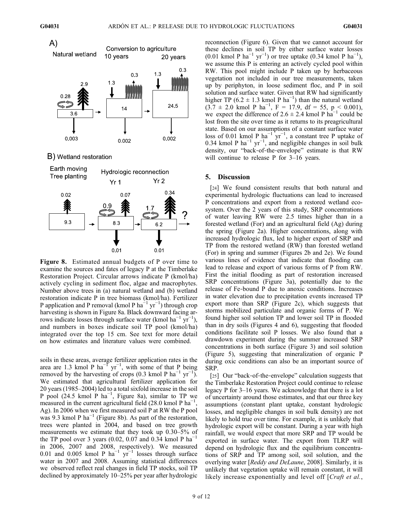

**B**) Wetland restoration



Figure 8. Estimated annual budgets of P over time to examine the sources and fates of legacy P at the Timberlake Restoration Project. Circular arrows indicate P (kmol/ha) actively cycling in sediment floc, algae and macrophytes. Number above trees in (a) natural wetland and (b) wetland restoration indicate P in tree biomass (kmol/ha). Fertilizer P application and P removal (kmol P ha<sup> $^{-1}$ </sup> yr<sup> $^{-1}$ </sup>) through crop harvesting is shown in Figure 8a. Black downward facing arrows indicate losses through surface water (kmol ha<sup>-1</sup> yr<sup>-1</sup>), and numbers in boxes indicate soil TP pool (kmol/ha) integrated over the top 15 cm. See text for more detail on how estimates and literature values were combined.

soils in these areas, average fertilizer application rates in the area are 1.3 kmol P ha<sup>-1</sup> yr<sup>-1</sup>, with some of that P being removed by the harvesting of crops (0.3 kmol P ha<sup>-1</sup> yr<sup>-1</sup>). We estimated that agricultural fertilizer application for 20 years (1985–2004) led to a total sixfold increase in the soil P pool (24.5 kmol P ha<sup>-1</sup>, Figure 8a), similar to TP we measured in the current agricultural field (28.0 kmol P ha−<sup>1</sup> , Ag). In 2006 when we first measured soil P at RW the P pool was 9.3 kmol P  $ha^{-1}$  (Figure 8b). As part of the restoration, trees were planted in 2004, and based on tree growth measurements we estimate that they took up 0.30–5% of the TP pool over 3 years (0.02, 0.07 and 0.34 kmol P ha<sup>-1</sup> in 2006, 2007 and 2008, respectively). We measured 0.01 and 0.005 kmol P ha<sup> $-1$ </sup> yr<sup> $-1$ </sup> losses through surface water in 2007 and 2008. Assuming statistical differences we observed reflect real changes in field TP stocks, soil TP declined by approximately 10–25% per year after hydrologic

reconnection (Figure 6). Given that we cannot account for these declines in soil TP by either surface water losses  $(0.01 \text{ kmol P ha}^{-1} \text{ yr}^{-1})$  or tree uptake  $(0.34 \text{ kmol P ha}^{-1})$ , we assume this P is entering an actively cycled pool within RW. This pool might include P taken up by herbaceous vegetation not included in our tree measurements, taken up by periphyton, in loose sediment floc, and P in soil solution and surface water. Given that RW had significantly higher TP (6.2  $\pm$  1.3 kmol P ha<sup>-1</sup>) than the natural wetland  $(3.7 \pm 2.0 \text{ kmol } P \text{ ha}^{-1}, F = 17.9, df = 55, p < 0.001$ ), we expect the difference of 2.6  $\pm$  2.4 kmol P ha<sup>-1</sup> could be lost from the site over time as it returns to its preagricultural state. Based on our assumptions of a constant surface water loss of 0.01 kmol P  $ha^{-1}yr^{-1}$ , a constant tree P uptake of 0.34 kmol P ha<sup>-1</sup> yr<sup>-1</sup>, and negligible changes in soil bulk density, our "back‐of‐the‐envelope" estimate is that RW will continue to release P for 3–16 years.

#### 5. Discussion

[24] We found consistent results that both natural and experimental hydrologic fluctuations can lead to increased P concentrations and export from a restored wetland ecosystem. Over the 2 years of this study, SRP concentrations of water leaving RW were 2.5 times higher than in a forested wetland (For) and an agricultural field (Ag) during the spring (Figure 2a). Higher concentrations, along with increased hydrologic flux, led to higher export of SRP and TP from the restored wetland (RW) than forested wetland (For) in spring and summer (Figures 2b and 2e). We found various lines of evidence that indicate that flooding can lead to release and export of various forms of P from RW. First the initial flooding as part of restoration increased SRP concentrations (Figure 3a), potentially due to the release of Fe‐bound P due to anoxic conditions. Increases in water elevation due to precipitation events increased TP export more than SRP (Figure 2c), which suggests that storms mobilized particulate and organic forms of P. We found higher soil solution TP and lower soil TP in flooded than in dry soils (Figures 4 and 6), suggesting that flooded conditions facilitate soil P losses. We also found that a drawdown experiment during the summer increased SRP concentrations in both surface (Figure 3) and soil solution (Figure 5), suggesting that mineralization of organic P during oxic conditions can also be an important source of SRP.

[25] Our "back-of-the-envelope" calculation suggests that the Timberlake Restoration Project could continue to release legacy P for 3–16 years. We acknowledge that there is a lot of uncertainty around those estimates, and that our three key assumptions (constant plant uptake, constant hydrologic losses, and negligible changes in soil bulk density) are not likely to hold true over time. For example, it is unlikely that hydrologic export will be constant. During a year with high rainfall, we would expect that more SRP and TP would be exported in surface water. The export from TLRP will depend on hydrologic flux and the equilibrium concentrations of SRP and TP among soil, soil solution, and the overlying water [*Reddy and DeLaune*, 2008]. Similarly, it is unlikely that vegetation uptake will remain constant, it will likely increase exponentially and level off [Craft et al.,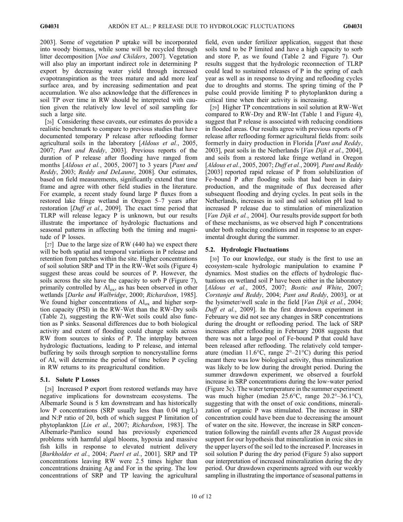2003]. Some of vegetation P uptake will be incorporated into woody biomass, while some will be recycled through litter decomposition [Noe and Childers, 2007]. Vegetation will also play an important indirect role in determining P export by decreasing water yield through increased evapotranspiration as the trees mature and add more leaf surface area, and by increasing sedimentation and peat accumulation. We also acknowledge that the differences in soil TP over time in RW should be interpreted with caution given the relatively low level of soil sampling for such a large site.

[26] Considering these caveats, our estimates do provide a realistic benchmark to compare to previous studies that have documented temporary P release after reflooding former agricultural soils in the laboratory [Aldous et al., 2005, 2007; Pant and Reddy, 2003]. Previous reports of the duration of P release after flooding have ranged from months *[Aldous et al., 2005, 2007]* to 3 years *[Pant and* Reddy, 2003; Reddy and DeLaune, 2008]. Our estimates, based on field measurements, significantly extend that time frame and agree with other field studies in the literature. For example, a recent study found large P fluxes from a restored lake fringe wetland in Oregon 5–7 years after restoration [*Duff et al.*, 2009]. The exact time period that TLRP will release legacy P is unknown, but our results illustrate the importance of hydrologic fluctuations and seasonal patterns in affecting both the timing and magnitude of P losses.

[27] Due to the large size of RW (440 ha) we expect there will be both spatial and temporal variations in P release and retention from patches within the site. Higher concentrations of soil solution SRP and TP in the RW‐Wet soils (Figure 4) suggest these areas could be sources of P. However, the soils across the site have the capacity to sorb P (Figure 7), primarily controlled by  $Al_{ox}$ , as has been observed in other wetlands [Darke and Walbridge, 2000; Richardson, 1985]. We found higher concentrations of  $Al_{ox}$  and higher sorption capacity (PSI) in the RW‐Wet than the RW‐Dry soils (Table 2), suggesting the RW‐Wet soils could also function as P sinks. Seasonal differences due to both biological activity and extent of flooding could change soils across RW from sources to sinks of P. The interplay between hydrologic fluctuations, leading to P release, and internal buffering by soils through sorption to noncrystalline forms of Al, will determine the period of time before P cycling in RW returns to its preagricultural condition.

# 5.1. Solute P Losses

[28] Increased P export from restored wetlands may have negative implications for downstream ecosystems. The Albemarle Sound is 5 km downstream and has historically low P concentrations (SRP usually less than 0.04 mg/L) and N:P ratio of 20, both of which suggest P limitation of phytoplankton [Lin et al., 2007; Richardson, 1983]. The Albemarle‐Pamlico sound has previously experienced problems with harmful algal blooms, hypoxia and massive fish kills in response to elevated nutrient delivery [Burkholder et al., 2004; Paerl et al., 2001]. SRP and TP concentrations leaving RW were 2.5 times higher than concentrations draining Ag and For in the spring. The low concentrations of SRP and TP leaving the agricultural

field, even under fertilizer application, suggest that these soils tend to be P limited and have a high capacity to sorb and store P, as we found (Table 2 and Figure 7). Our results suggest that the hydrologic reconnection of TLRP could lead to sustained releases of P in the spring of each year as well as in response to drying and reflooding cycles due to droughts and storms. The spring timing of the P pulse could provide limiting P to phytoplankton during a critical time when their activity is increasing.

[29] Higher TP concentrations in soil solution at RW‐Wet compared to RW‐Dry and RW‐Int (Table 1 and Figure 4), suggest that P release is associated with reducing conditions in flooded areas. Our results agree with previous reports of P release after reflooding former agricultural fields from: soils formerly in dairy production in Florida [Pant and Reddy, 2003], peat soils in the Netherlands [Van Dijk et al., 2004], and soils from a restored lake fringe wetland in Oregon [Aldous et al., 2005, 2007; Duff et al., 2009]. Pant and Reddy [2003] reported rapid release of P from solubilization of Fe-bound P after flooding soils that had been in dairy production, and the magnitude of flux decreased after subsequent flooding and drying cycles. In peat soils in the Netherlands, increases in soil and soil solution pH lead to increased P release due to stimulation of mineralization [*Van Dijk et al.*, 2004]. Our results provide support for both of these mechanisms, as we observed high P concentrations under both reducing conditions and in response to an experimental drought during the summer.

# 5.2. Hydrologic Fluctuations

[30] To our knowledge, our study is the first to use an ecosystem‐scale hydrologic manipulation to examine P dynamics. Most studies on the effects of hydrologic fluctuations on wetland soil P have been either in the laboratory [Aldous et al., 2005, 2007; Bostic and White, 2007; Corstanje and Reddy, 2004; Pant and Reddy, 2003], or at the lysimeter/well scale in the field [Van Dijk et al., 2004; Duff et al., 2009]. In the first drawdown experiment in February we did not see any changes in SRP concentrations during the drought or reflooding period. The lack of SRP increases after reflooding in February 2008 suggests that there was not a large pool of Fe‐bound P that could have been released after reflooding. The relatively cold temperature (median 11.6 $\degree$ C, range 2 $\degree$ -21 $\degree$ C) during this period meant there was low biological activity, thus mineralization was likely to be low during the drought period. During the summer drawdown experiment, we observed a fourfold increase in SRP concentrations during the low‐water period (Figure 3c). The water temperature in the summer experiment was much higher (median 25.6°C, range 20.2°–36.1°C), suggesting that with the onset of oxic conditions, mineralization of organic P was stimulated. The increase in SRP concentration could have been due to decreasing the amount of water on the site. However, the increase in SRP concentration following the rainfall events after 28 August provide support for our hypothesis that mineralization in oxic sites in the upper layers of the soil led to the increased P. Increases in soil solution P during the dry period (Figure 5) also support our interpretation of increased mineralization during the dry period. Our drawdown experiments agreed with our weekly sampling in illustrating the importance of seasonal patterns in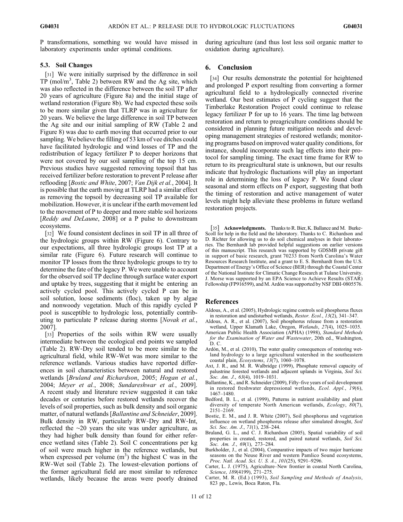# 5.3. Soil Changes

[31] We were initially surprised by the difference in soil TP (mol/m<sup>3</sup>, Table 2) between RW and the Ag site, which was also reflected in the difference between the soil TP after 20 years of agriculture (Figure 8a) and the initial stage of wetland restoration (Figure 8b). We had expected these soils to be more similar given that TLRP was in agriculture for 20 years. We believe the large difference in soil TP between the Ag site and our initial sampling of RW (Table 2 and Figure 8) was due to earth moving that occurred prior to our sampling. We believe the filling of 53 km of vee ditches could have facilitated hydrologic and wind losses of TP and the redistribution of legacy fertilizer P to deeper horizons that were not covered by our soil sampling of the top 15 cm. Previous studies have suggested removing topsoil that has received fertilizer before restoration to prevent P release after reflooding [Bostic and White, 2007; Van Dijk et al., 2004]. It is possible that the earth moving at TLRP had a similar effect as removing the topsoil by decreasing soil TP available for mobilization. However, it is unclear if the earth movement led to the movement of P to deeper and more stable soil horizons [Reddy and DeLaune, 2008] or a P pulse to downstream ecosystems.

[32] We found consistent declines in soil TP in all three of the hydrologic groups within RW (Figure 6). Contrary to our expectations, all three hydrologic groups lost TP at a similar rate (Figure 6). Future research will continue to monitor TP losses from the three hydrologic groups to try to determine the fate of the legacy P. We were unable to account for the observed soil TP decline through surface water export and uptake by trees, suggesting that it might be entering an actively cycled pool. This actively cycled P can be in soil solution, loose sediments (floc), taken up by algae and nonwoody vegetation. Much of this rapidly cycled P pool is susceptible to hydrologic loss, potentially contributing to particulate P release during storms [Novak et al., 2007].

[33] Properties of the soils within RW were usually intermediate between the ecological end points we sampled (Table 2). RW‐Dry soil tended to be more similar to the agricultural field, while RW‐Wet was more similar to the reference wetlands. Various studies have reported differences in soil characteristics between natural and restored wetlands [Bruland and Richardson, 2005; Hogan et al., 2004; Meyer et al., 2008; Sundareshwar et al., 2009]. A recent study and literature review suggested it can take decades or centuries before restored wetlands recover the levels of soil properties, such as bulk density and soil organic matter, of natural wetlands [Ballantine and Schneider, 2009]. Bulk density in RW, particularly RW‐Dry and RW‐Int, reflected the ∼20 years the site was under agriculture, as they had higher bulk density than found for either reference wetland sites (Table 2). Soil C concentrations per kg of soil were much higher in the reference wetlands, but when expressed per volume  $(m<sup>3</sup>)$  the highest C was in the RW‐Wet soil (Table 2). The lowest‐elevation portions of the former agricultural field are most similar to reference wetlands, likely because the areas were poorly drained

during agriculture (and thus lost less soil organic matter to oxidation during agriculture).

#### 6. Conclusion

[34] Our results demonstrate the potential for heightened and prolonged P export resulting from converting a former agricultural field to a hydrologically connected riverine wetland. Our best estimates of P cycling suggest that the Timberlake Restoration Project could continue to release legacy fertilizer P for up to 16 years. The time lag between restoration and return to preagriculture conditions should be considered in planning future mitigation needs and developing management strategies of restored wetlands; monitoring programs based on improved water quality conditions, for instance, should incorporate such lag effects into their protocol for sampling timing. The exact time frame for RW to return to its preagricultural state is unknown, but our results indicate that hydrologic fluctuations will play an important role in determining the loss of legacy P. We found clear seasonal and storm effects on P export, suggesting that both the timing of restoration and active management of water levels might help alleviate these problems in future wetland restoration projects.

[35] Acknowledgments. Thanks to R. Bier, K. Ballance and M. Burke-Scoll for help in the field and the laboratory. Thanks to C. Richardson and D. Richter for allowing us to do soil chemical analyses in their laboratories. The Bernhardt lab provided helpful suggestions on earlier versions of this manuscript. This research was supported by GDSMB private gift in support of basic research, grant 70233 from North Carolina's Water Resources Research Institute, and a grant to E. S. Bernhardt from the U.S. Department of Energy's Office of Science (BER) through the Coastal Center of the National Institute for Climatic Change Research at Tulane University. J. Morse was supported by an EPA Science to Achieve Results (STAR) Fellowship (FP916599), and M. Ardón was supported by NSF DBI‐0805576.

#### References

- Aldous, A., et al. (2005), Hydrologic regime controls soil phosphorus fluxes in restoration and undisturbed wetlands, Restor. Ecol., 13(2), 341–347.
- Aldous, A. R., et al. (2007), Soil phosphorus release from a restoration wetland, Upper Klamath Lake, Oregon, Wetlands, 27(4), 1025–1035.
- American Public Health Association (APHA) (1998), Standard Methods for the Examination of Water and Wastewater, 20th ed., Washington, D. C.
- Ardón, M., et al. (2010), The water quality consequences of restoring wetland hydrology to a large agricultural watershed in the southeastern coastal plain, Ecosystems, 13(7), 1060–1078.
- Axt, J. R., and M. R. Walbridge (1999), Phosphate removal capacity of palustrine forested wetlands and adjacent uplands in Virginia, Soil Sci. Soc. Am. J., 63(4), 1019-1031.
- Ballantine, K., and R. Schneider (2009), Fifty‐five years of soil development in restored freshwater depressional wetlands, Ecol. Appl., 19(6), 1467–1480.
- Bedford, B. L., et al. (1999), Patterns in nutrient availability and plant diversity of temperate North American wetlands, Ecology, 80(7), 2151–2169.
- Bostic, E. M., and J. R. White (2007), Soil phosphorus and vegetation influence on wetland phosphorus release after simulated drought, Soil Sci. Soc. Am. J., 71(1), 238-244.
- Bruland, G. L., and C. J. Richardson (2005), Spatial variability of soil properties in created, restored, and paired natural wetlands, Soil Sci. Soc. Am. J., 69(1), 273–284.
- Burkholder, J., et al. (2004), Comparative impacts of two major hurricane seasons on the Neuse River and western Pamlico Sound ecosystems, Proc. Natl. Acad. Sci. U. S. A., 101(25), 9291–9296.
- Carter, L. J. (1975), Agriculture–New frontier in coastal North Carolina, Science, 189(4199), 271-275.
- Carter, M. R. (Ed.) (1993), Soil Sampling and Methods of Analysis, 823 pp., Lewis, Boca Raton, Fla.